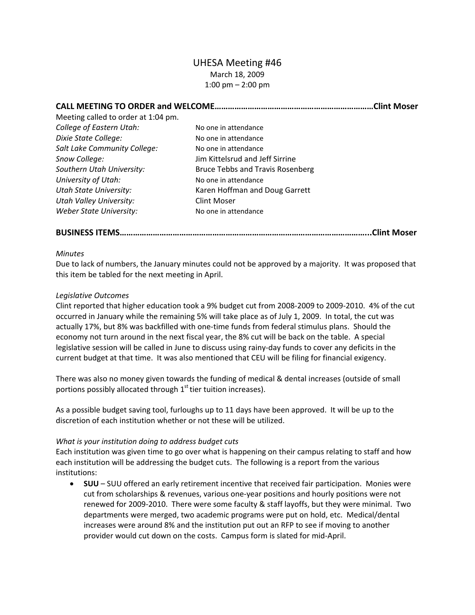## UHESA Meeting #46 March 18, 2009 1:00 pm – 2:00 pm

| Meeting called to order at 1:04 pm. |                                         | .Clint Moser |
|-------------------------------------|-----------------------------------------|--------------|
|                                     |                                         |              |
| College of Eastern Utah:            | No one in attendance                    |              |
| Dixie State College:                | No one in attendance                    |              |
| Salt Lake Community College:        | No one in attendance                    |              |
| Snow College:                       | Jim Kittelsrud and Jeff Sirrine         |              |
| Southern Utah University:           | <b>Bruce Tebbs and Travis Rosenberg</b> |              |
| University of Utah:                 | No one in attendance                    |              |
| <b>Utah State University:</b>       | Karen Hoffman and Doug Garrett          |              |
| <b>Utah Valley University:</b>      | <b>Clint Moser</b>                      |              |
| Weber State University:             | No one in attendance                    |              |

**BUSINESS ITEMS…………………………………………………………………………………………………...Clint Moser**

## *Minutes*

Due to lack of numbers, the January minutes could not be approved by a majority. It was proposed that this item be tabled for the next meeting in April.

## *Legislative Outcomes*

Clint reported that higher education took a 9% budget cut from 2008‐2009 to 2009‐2010. 4% of the cut occurred in January while the remaining 5% will take place as of July 1, 2009. In total, the cut was actually 17%, but 8% was backfilled with one‐time funds from federal stimulus plans. Should the economy not turn around in the next fiscal year, the 8% cut will be back on the table. A special legislative session will be called in June to discuss using rainy-day funds to cover any deficits in the current budget at that time. It was also mentioned that CEU will be filing for financial exigency.

There was also no money given towards the funding of medical & dental increases (outside of small portions possibly allocated through  $1<sup>st</sup>$  tier tuition increases).

As a possible budget saving tool, furloughs up to 11 days have been approved. It will be up to the discretion of each institution whether or not these will be utilized.

## *What is your institution doing to address budget cuts*

Each institution was given time to go over what is happening on their campus relating to staff and how each institution will be addressing the budget cuts. The following is a report from the various institutions:

• **SUU** – SUU offered an early retirement incentive that received fair participation. Monies were cut from scholarships & revenues, various one‐year positions and hourly positions were not renewed for 2009‐2010. There were some faculty & staff layoffs, but they were minimal. Two departments were merged, two academic programs were put on hold, etc. Medical/dental increases were around 8% and the institution put out an RFP to see if moving to another provider would cut down on the costs. Campus form is slated for mid‐April.